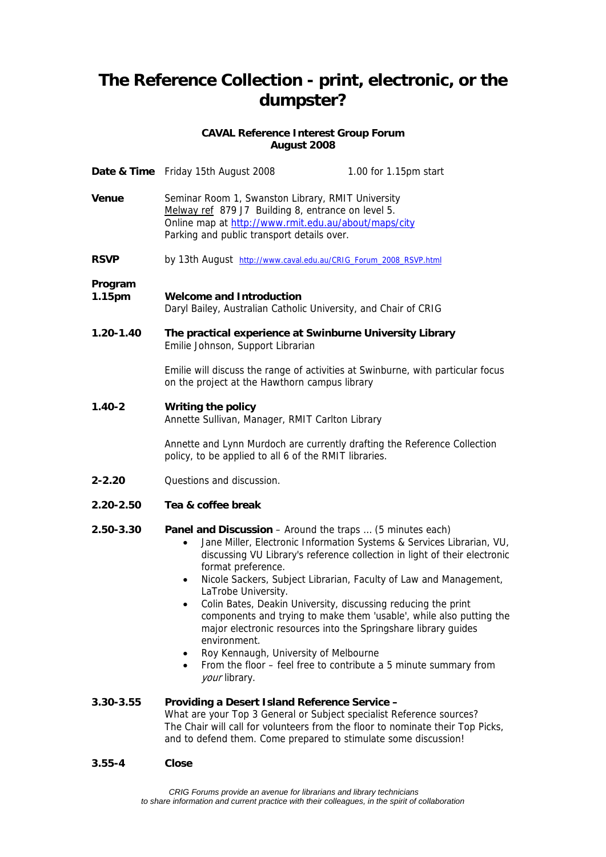# **The Reference Collection - print, electronic, or the dumpster?**

## **CAVAL Reference Interest Group Forum August 2008**

|                   | Date & Time Friday 15th August 2008                                                                                                                                                                                                                                                                                                                                            | 1.00 for 1.15pm start                                                                                                                                                                                                                                                                                                                                              |
|-------------------|--------------------------------------------------------------------------------------------------------------------------------------------------------------------------------------------------------------------------------------------------------------------------------------------------------------------------------------------------------------------------------|--------------------------------------------------------------------------------------------------------------------------------------------------------------------------------------------------------------------------------------------------------------------------------------------------------------------------------------------------------------------|
| <b>Venue</b>      | Seminar Room 1, Swanston Library, RMIT University<br>Melway ref 879 J7 Building 8, entrance on level 5.<br>Online map at http://www.rmit.edu.au/about/maps/city<br>Parking and public transport details over.                                                                                                                                                                  |                                                                                                                                                                                                                                                                                                                                                                    |
| <b>RSVP</b>       | by 13th August http://www.caval.edu.au/CRIG_Forum_2008_RSVP.html                                                                                                                                                                                                                                                                                                               |                                                                                                                                                                                                                                                                                                                                                                    |
| Program<br>1.15pm | <b>Welcome and Introduction</b><br>Daryl Bailey, Australian Catholic University, and Chair of CRIG                                                                                                                                                                                                                                                                             |                                                                                                                                                                                                                                                                                                                                                                    |
| $1.20 - 1.40$     | The practical experience at Swinburne University Library<br>Emilie Johnson, Support Librarian                                                                                                                                                                                                                                                                                  |                                                                                                                                                                                                                                                                                                                                                                    |
|                   | Emilie will discuss the range of activities at Swinburne, with particular focus<br>on the project at the Hawthorn campus library                                                                                                                                                                                                                                               |                                                                                                                                                                                                                                                                                                                                                                    |
| $1.40 - 2$        | <b>Writing the policy</b><br>Annette Sullivan, Manager, RMIT Carlton Library                                                                                                                                                                                                                                                                                                   |                                                                                                                                                                                                                                                                                                                                                                    |
|                   | Annette and Lynn Murdoch are currently drafting the Reference Collection<br>policy, to be applied to all 6 of the RMIT libraries.                                                                                                                                                                                                                                              |                                                                                                                                                                                                                                                                                                                                                                    |
| $2 - 2.20$        | Questions and discussion.                                                                                                                                                                                                                                                                                                                                                      |                                                                                                                                                                                                                                                                                                                                                                    |
| 2.20-2.50         | Tea & coffee break                                                                                                                                                                                                                                                                                                                                                             |                                                                                                                                                                                                                                                                                                                                                                    |
| 2.50-3.30         | <b>Panel and Discussion</b> – Around the traps  (5 minutes each)<br>$\bullet$<br>format preference.<br>$\bullet$<br>LaTrobe University.<br>Colin Bates, Deakin University, discussing reducing the print<br>$\bullet$<br>major electronic resources into the Springshare library guides<br>environment.<br>Roy Kennaugh, University of Melbourne<br>$\bullet$<br>your library. | Jane Miller, Electronic Information Systems & Services Librarian, VU,<br>discussing VU Library's reference collection in light of their electronic<br>Nicole Sackers, Subject Librarian, Faculty of Law and Management,<br>components and trying to make them 'usable', while also putting the<br>From the floor - feel free to contribute a 5 minute summary from |
| 3.30-3.55         | Providing a Desert Island Reference Service -<br>What are your Top 3 General or Subject specialist Reference sources?<br>The Chair will call for volunteers from the floor to nominate their Top Picks,<br>and to defend them. Come prepared to stimulate some discussion!                                                                                                     |                                                                                                                                                                                                                                                                                                                                                                    |
| $3.55 - 4$        | <b>Close</b>                                                                                                                                                                                                                                                                                                                                                                   |                                                                                                                                                                                                                                                                                                                                                                    |